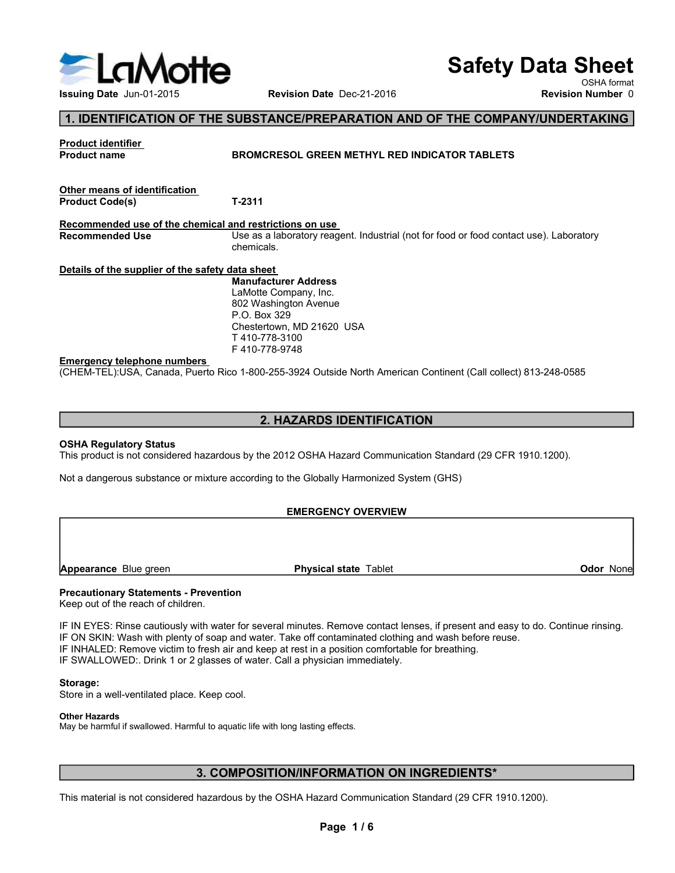

# Safety Data Sheet

# 1. IDENTIFICATION OF THE SUBSTANCE/PREPARATION AND OF THE COMPANY/UNDERTAKING

| LaMotte<br><b>Issuing Date Jun-01-2015</b>                                         |                                                                                                                                                                                                                                                                                                                                                                                                                              | <b>Safety Data Sheet</b> |                                         |
|------------------------------------------------------------------------------------|------------------------------------------------------------------------------------------------------------------------------------------------------------------------------------------------------------------------------------------------------------------------------------------------------------------------------------------------------------------------------------------------------------------------------|--------------------------|-----------------------------------------|
|                                                                                    | Revision Date Dec-21-2016                                                                                                                                                                                                                                                                                                                                                                                                    |                          | OSHA format<br><b>Revision Number 0</b> |
|                                                                                    | 1. IDENTIFICATION OF THE SUBSTANCE/PREPARATION AND OF THE COMPANY/UNDERTAKING                                                                                                                                                                                                                                                                                                                                                |                          |                                         |
| Product identifier<br><b>Product name</b>                                          | <b>BROMCRESOL GREEN METHYL RED INDICATOR TABLETS</b>                                                                                                                                                                                                                                                                                                                                                                         |                          |                                         |
| Other means of identification<br><b>Product Code(s)</b>                            | T-2311                                                                                                                                                                                                                                                                                                                                                                                                                       |                          |                                         |
| Recommended use of the chemical and restrictions on use<br><b>Recommended Use</b>  | Use as a laboratory reagent. Industrial (not for food or food contact use). Laboratory<br>chemicals.                                                                                                                                                                                                                                                                                                                         |                          |                                         |
| Details of the supplier of the safety data sheet                                   | <b>Manufacturer Address</b><br>LaMotte Company, Inc.<br>802 Washington Avenue<br>P.O. Box 329<br>Chestertown, MD 21620 USA<br>T 410-778-3100<br>F410-778-9748                                                                                                                                                                                                                                                                |                          |                                         |
| <b>Emergency telephone numbers</b>                                                 | (CHEM-TEL):USA, Canada, Puerto Rico 1-800-255-3924 Outside North American Continent (Call collect) 813-248-0585                                                                                                                                                                                                                                                                                                              |                          |                                         |
|                                                                                    | 2. HAZARDS IDENTIFICATION                                                                                                                                                                                                                                                                                                                                                                                                    |                          |                                         |
| <b>OSHA Regulatory Status</b>                                                      |                                                                                                                                                                                                                                                                                                                                                                                                                              |                          |                                         |
|                                                                                    | This product is not considered hazardous by the 2012 OSHA Hazard Communication Standard (29 CFR 1910.1200).<br>Not a dangerous substance or mixture according to the Globally Harmonized System (GHS)                                                                                                                                                                                                                        |                          |                                         |
|                                                                                    | <b>EMERGENCY OVERVIEW</b>                                                                                                                                                                                                                                                                                                                                                                                                    |                          |                                         |
|                                                                                    |                                                                                                                                                                                                                                                                                                                                                                                                                              |                          |                                         |
| <b>Appearance Blue green</b>                                                       | <b>Physical state Tablet</b>                                                                                                                                                                                                                                                                                                                                                                                                 |                          | Odor None                               |
| <b>Precautionary Statements - Prevention</b><br>Keep out of the reach of children. | IF IN EYES: Rinse cautiously with water for several minutes. Remove contact lenses, if present and easy to do. Continue rinsing.<br>IF ON SKIN: Wash with plenty of soap and water. Take off contaminated clothing and wash before reuse.<br>IF INHALED: Remove victim to fresh air and keep at rest in a position comfortable for breathing.<br>IF SWALLOWED:. Drink 1 or 2 glasses of water. Call a physician immediately. |                          |                                         |

# 2. HAZARDS IDENTIFICATION

# EMERGENCY OVERVIEW

EMERGENCY OVERVIEW<br>
Precentionary Statements - Prevention<br>
Meep out of the reach of children.<br>
IF IN EYES: Rinse cautiously with water for several minutes. Remove contact lenses, if present and easy to do. Continue rinsing IF IN EXECUTE THE THE STATE THE STATE OF THE STATE OF THE STATE OF CONTENTING A CONTENTING A CONTENTING A CONTENTING A CONTENTING A CONTENTING A CONTENTING A CONTENTING A CONTENTING A CONTENTING THE UNIT OF THE STATE OF TH Emargency telephone numbers<br>
IF 410-778-9748<br>
CONEM-TELYUSA, Canada, Puerto Rico 1-800-255-3924 Outside North American Continent (Call collect) 813-248-0585<br>
2. HAZARDS IDENTIFICATION<br>
IThis product is not considered hazar **EMPIGENCY GOVERVIEW**<br> **ISHARED: USING A Canada, Puerto Rico 1-800-255-3924 Outside North American Continent (Call collect) 813-248-0585<br>
2. HAZARDS IDENTIFICATION<br>
IS INSTANCE IN EXERCISE CONSIDENTIFICATION<br>
INSTANCE TO C** U-HEWI- ELFUSA, Canada, Fuend Rico 1-800-250-3924 Outside North American Continent (Call collecting) 813-248-0566<br>
This product is not considered hazardous by the 2012 OSHA Hazard Communication Standard (29 CFR 1910.1200). **2. HAZARDS IDENTIFICATION**<br>
STAR Regulatory Status<br>
This product is not considered hazardous by the 2012 OSHA Hazard Communication Standard (29 CFR 1910.1200).<br>
Not a dangerous substance or mixture according to the Global Contained a School Contained a School Continue rinsing.<br>
Secondant leads of the School Continue rinsing.<br>
School Contained Colthing and wash before reuse.<br>
A position comfortable for breathing.<br>
Scidan immediately.<br>
Second

# Storage:

Other Hazards

May be harmful if swallowed. Harmful to aquatic life with long lasting effects.

# 3. COMPOSITION/INFORMATION ON INGREDIENTS\*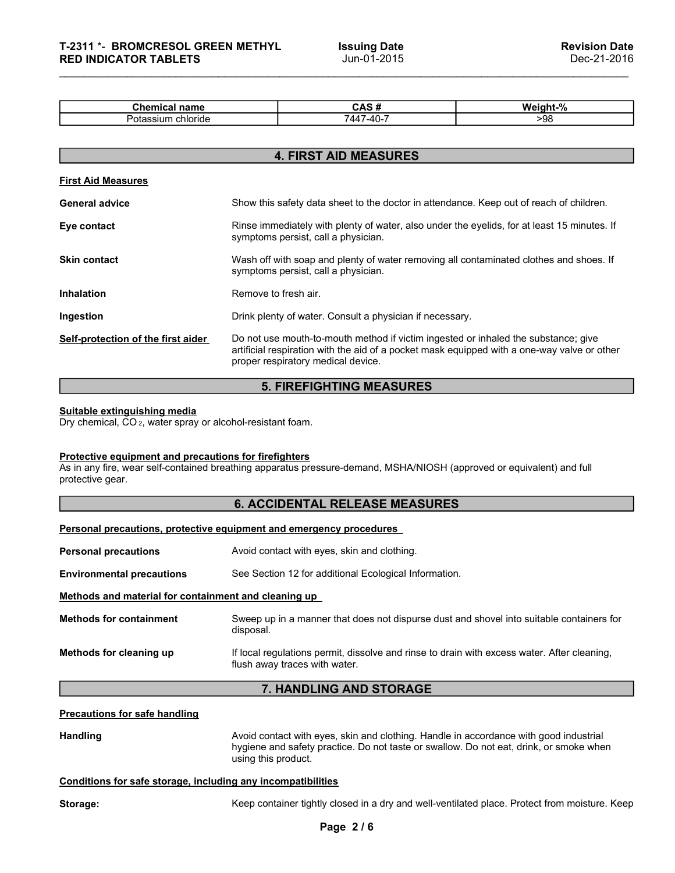| T-2311 *- BROMCRESOL GREEN METHYL<br><b>Issuing Date</b><br><b>Revision Date</b><br>Jun-01-2015<br>Dec-21-2016<br><b>RED INDICATOR TABLETS</b> |  |
|------------------------------------------------------------------------------------------------------------------------------------------------|--|
|                                                                                                                                                |  |
| CAS#<br>Weight-%<br><b>Chemical name</b><br>Potassium chloride<br>>98<br>7447-40-7                                                             |  |

| T-2311 *- BROMCRESOL GREEN METHYL<br><b>RED INDICATOR TABLETS</b>                                      |                      | <b>Issuing Date</b><br>Jun-01-2015                                                                                                                                                                                      | <b>Revision Date</b><br>Dec-21-2016 |
|--------------------------------------------------------------------------------------------------------|----------------------|-------------------------------------------------------------------------------------------------------------------------------------------------------------------------------------------------------------------------|-------------------------------------|
|                                                                                                        |                      |                                                                                                                                                                                                                         |                                     |
| <b>Chemical name</b>                                                                                   |                      | CAS#                                                                                                                                                                                                                    | Weight-%                            |
| Potassium chloride                                                                                     |                      | 7447-40-7                                                                                                                                                                                                               | >98                                 |
|                                                                                                        |                      | <b>4. FIRST AID MEASURES</b>                                                                                                                                                                                            |                                     |
| <b>First Aid Measures</b>                                                                              |                      |                                                                                                                                                                                                                         |                                     |
| <b>General advice</b>                                                                                  |                      | Show this safety data sheet to the doctor in attendance. Keep out of reach of children.                                                                                                                                 |                                     |
| Eye contact                                                                                            |                      | Rinse immediately with plenty of water, also under the eyelids, for at least 15 minutes. If<br>symptoms persist, call a physician.                                                                                      |                                     |
| Skin contact                                                                                           |                      | Wash off with soap and plenty of water removing all contaminated clothes and shoes. If<br>symptoms persist, call a physician.                                                                                           |                                     |
| <b>Inhalation</b>                                                                                      | Remove to fresh air. |                                                                                                                                                                                                                         |                                     |
| Ingestion                                                                                              |                      | Drink plenty of water. Consult a physician if necessary.                                                                                                                                                                |                                     |
| Self-protection of the first aider                                                                     |                      | Do not use mouth-to-mouth method if victim ingested or inhaled the substance; give<br>artificial respiration with the aid of a pocket mask equipped with a one-way valve or other<br>proper respiratory medical device. |                                     |
|                                                                                                        |                      | <b>5. FIREFIGHTING MEASURES</b>                                                                                                                                                                                         |                                     |
| Suitable extinguishing media<br>Dry chemical, CO <sub>2</sub> , water spray or alcohol-resistant foam. |                      |                                                                                                                                                                                                                         |                                     |
| <b>Protective equipment and precautions for firefighters</b><br>protective gear.                       |                      | As in any fire, wear self-contained breathing apparatus pressure-demand, MSHA/NIOSH (approved or equivalent) and full                                                                                                   |                                     |
|                                                                                                        |                      | <b>6. ACCIDENTAL RELEASE MEASURES</b>                                                                                                                                                                                   |                                     |
| Personal precautions, protective equipment and emergency procedures                                    |                      |                                                                                                                                                                                                                         |                                     |
| <b>Personal precautions</b>                                                                            |                      | Avoid contact with eyes, skin and clothing.                                                                                                                                                                             |                                     |
| <b>Environmental precautions</b>                                                                       |                      | See Section 12 for additional Ecological Information.                                                                                                                                                                   |                                     |
| Methods and material for containment and cleaning up                                                   |                      |                                                                                                                                                                                                                         |                                     |
| <b>Methods for containment</b>                                                                         |                      | Sweep up in a manner that does not dispurse dust and shovel into suitable containers for                                                                                                                                |                                     |

# 5. FIREFIGHTING MEASURES

# 6. ACCIDENTAL RELEASE MEASURES

| <b>Inhalation</b>                                                                                      | Remove to fresh air.                                                                                                                                                                                                    |
|--------------------------------------------------------------------------------------------------------|-------------------------------------------------------------------------------------------------------------------------------------------------------------------------------------------------------------------------|
| Ingestion                                                                                              | Drink plenty of water. Consult a physician if necessary.                                                                                                                                                                |
| Self-protection of the first aider                                                                     | Do not use mouth-to-mouth method if victim ingested or inhaled the substance; give<br>artificial respiration with the aid of a pocket mask equipped with a one-way valve or other<br>proper respiratory medical device. |
|                                                                                                        | <b>5. FIREFIGHTING MEASURES</b>                                                                                                                                                                                         |
| Suitable extinguishing media<br>Dry chemical, CO <sub>2</sub> , water spray or alcohol-resistant foam. |                                                                                                                                                                                                                         |
| Protective equipment and precautions for firefighters<br>protective gear.                              | As in any fire, wear self-contained breathing apparatus pressure-demand, MSHA/NIOSH (approved or equivalent) and full                                                                                                   |
|                                                                                                        | <b>6. ACCIDENTAL RELEASE MEASURES</b>                                                                                                                                                                                   |
|                                                                                                        | Personal precautions, protective equipment and emergency procedures                                                                                                                                                     |
| <b>Personal precautions</b>                                                                            | Avoid contact with eyes, skin and clothing.                                                                                                                                                                             |
| <b>Environmental precautions</b>                                                                       | See Section 12 for additional Ecological Information.                                                                                                                                                                   |
| Methods and material for containment and cleaning up                                                   |                                                                                                                                                                                                                         |
| <b>Methods for containment</b>                                                                         | Sweep up in a manner that does not dispurse dust and shovel into suitable containers for<br>disposal.                                                                                                                   |
| Methods for cleaning up                                                                                | If local regulations permit, dissolve and rinse to drain with excess water. After cleaning,<br>flush away traces with water.                                                                                            |
|                                                                                                        | 7. HANDLING AND STORAGE                                                                                                                                                                                                 |
| <b>Precautions for safe handling</b>                                                                   |                                                                                                                                                                                                                         |
| <b>Handling</b>                                                                                        | Avoid contact with eyes, skin and clothing. Handle in accordance with good industrial<br>hygiene and safety practice. Do not taste or swallow. Do not eat, drink, or smoke when<br>using this product.                  |
| Conditions for safe storage, including any incompatibilities                                           |                                                                                                                                                                                                                         |
| Storage:                                                                                               | Keep container tightly closed in a dry and well-ventilated place. Protect from moisture. Keep                                                                                                                           |
|                                                                                                        | Page 2/6                                                                                                                                                                                                                |
|                                                                                                        |                                                                                                                                                                                                                         |
|                                                                                                        |                                                                                                                                                                                                                         |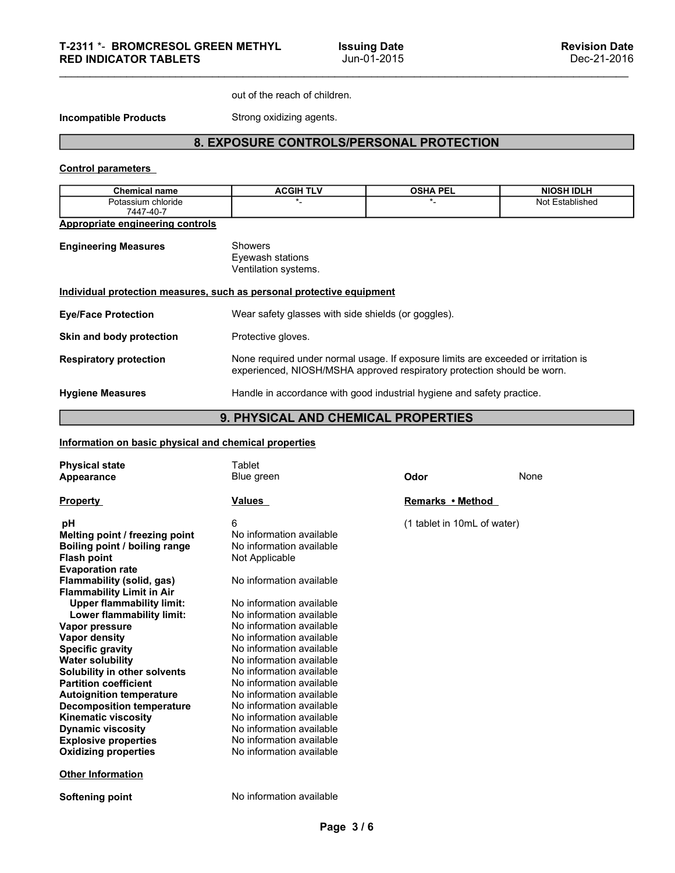# METHYL Issuing Date<br>
Jun-01-2015<br>
Out of the reach of children.<br>
Strong oxidizing agents.<br>
OSURE CONTROLS/PERSONAL PROTECTION 8. EXPOSURE CONTROLS/PERSONAL PROTECTION

| <b>RED INDICATOR TABLETS</b>                                                                                                                                                                                                | T-2311 *- BROMCRESOL GREEN METHYL                                                                                                   | <b>Issuing Date</b>                                                     |                             | <b>Revision Date</b>                                                               |
|-----------------------------------------------------------------------------------------------------------------------------------------------------------------------------------------------------------------------------|-------------------------------------------------------------------------------------------------------------------------------------|-------------------------------------------------------------------------|-----------------------------|------------------------------------------------------------------------------------|
|                                                                                                                                                                                                                             |                                                                                                                                     | Jun-01-2015                                                             |                             | Dec-21-2016                                                                        |
|                                                                                                                                                                                                                             | out of the reach of children.                                                                                                       |                                                                         |                             |                                                                                    |
| <b>Incompatible Products</b>                                                                                                                                                                                                | Strong oxidizing agents.                                                                                                            |                                                                         |                             |                                                                                    |
|                                                                                                                                                                                                                             | 8. EXPOSURE CONTROLS/PERSONAL PROTECTION                                                                                            |                                                                         |                             |                                                                                    |
| <b>Control parameters</b>                                                                                                                                                                                                   |                                                                                                                                     |                                                                         |                             |                                                                                    |
| <b>Chemical name</b>                                                                                                                                                                                                        | <b>ACGIH TLV</b>                                                                                                                    |                                                                         | <b>OSHA PEL</b>             | <b>NIOSH IDLH</b>                                                                  |
| Potassium chloride<br>7447-40-7                                                                                                                                                                                             |                                                                                                                                     |                                                                         | *_                          | Not Established                                                                    |
| <b>Appropriate engineering controls</b>                                                                                                                                                                                     |                                                                                                                                     |                                                                         |                             |                                                                                    |
| <b>Engineering Measures</b>                                                                                                                                                                                                 | Showers<br>Eyewash stations<br>Ventilation systems.                                                                                 |                                                                         |                             |                                                                                    |
| Individual protection measures, such as personal protective equipment                                                                                                                                                       |                                                                                                                                     |                                                                         |                             |                                                                                    |
| <b>Eye/Face Protection</b>                                                                                                                                                                                                  |                                                                                                                                     | Wear safety glasses with side shields (or goggles).                     |                             |                                                                                    |
| Skin and body protection                                                                                                                                                                                                    | Protective gloves.                                                                                                                  |                                                                         |                             |                                                                                    |
| <b>Respiratory protection</b>                                                                                                                                                                                               |                                                                                                                                     | experienced, NIOSH/MSHA approved respiratory protection should be worn. |                             | None required under normal usage. If exposure limits are exceeded or irritation is |
| <b>Hygiene Measures</b>                                                                                                                                                                                                     |                                                                                                                                     | Handle in accordance with good industrial hygiene and safety practice.  |                             |                                                                                    |
|                                                                                                                                                                                                                             | 9. PHYSICAL AND CHEMICAL PROPERTIES                                                                                                 |                                                                         |                             |                                                                                    |
| Information on basic physical and chemical properties                                                                                                                                                                       |                                                                                                                                     |                                                                         |                             |                                                                                    |
| <b>Physical state</b><br>Appearance                                                                                                                                                                                         | Tablet<br>Blue green                                                                                                                |                                                                         | Odor                        | None                                                                               |
| <b>Property</b>                                                                                                                                                                                                             | <u>Values</u>                                                                                                                       |                                                                         | Remarks • Method            |                                                                                    |
| pH<br>Melting point / freezing point<br>Boiling point / boiling range<br><b>Flash point</b><br><b>Evaporation rate</b><br>Flammability (solid, gas)<br><b>Flammability Limit in Air</b><br><b>Upper flammability limit:</b> | 6<br>No information available<br>No information available<br>Not Applicable<br>No information available<br>No information available |                                                                         | (1 tablet in 10mL of water) |                                                                                    |

# 9. PHYSICAL AND CHEMICAL PROPERTIES

|                                                               | Individual protection measures, such as personal protective equipment                                                                                         |                             |      |
|---------------------------------------------------------------|---------------------------------------------------------------------------------------------------------------------------------------------------------------|-----------------------------|------|
| <b>Eye/Face Protection</b>                                    | Wear safety glasses with side shields (or goggles).                                                                                                           |                             |      |
| Skin and body protection                                      | Protective gloves.                                                                                                                                            |                             |      |
| <b>Respiratory protection</b>                                 | None required under normal usage. If exposure limits are exceeded or irritation is<br>experienced, NIOSH/MSHA approved respiratory protection should be worn. |                             |      |
| <b>Hygiene Measures</b>                                       | Handle in accordance with good industrial hygiene and safety practice.                                                                                        |                             |      |
|                                                               | 9. PHYSICAL AND CHEMICAL PROPERTIES                                                                                                                           |                             |      |
| Information on basic physical and chemical properties         |                                                                                                                                                               |                             |      |
| <b>Physical state</b>                                         | Tablet                                                                                                                                                        |                             |      |
| Appearance                                                    | Blue green                                                                                                                                                    | Odor                        | None |
| <b>Property</b>                                               | Values                                                                                                                                                        | Remarks • Method            |      |
| рH                                                            | 6                                                                                                                                                             | (1 tablet in 10mL of water) |      |
| Melting point / freezing point                                | No information available                                                                                                                                      |                             |      |
| Boiling point / boiling range                                 | No information available                                                                                                                                      |                             |      |
| <b>Flash point</b>                                            | Not Applicable                                                                                                                                                |                             |      |
| <b>Evaporation rate</b>                                       | No information available                                                                                                                                      |                             |      |
| Flammability (solid, gas)<br><b>Flammability Limit in Air</b> |                                                                                                                                                               |                             |      |
| <b>Upper flammability limit:</b>                              | No information available                                                                                                                                      |                             |      |
| Lower flammability limit:                                     | No information available                                                                                                                                      |                             |      |
| Vapor pressure                                                | No information available                                                                                                                                      |                             |      |
| <b>Vapor density</b>                                          | No information available                                                                                                                                      |                             |      |
| <b>Specific gravity</b>                                       | No information available                                                                                                                                      |                             |      |
| <b>Water solubility</b>                                       | No information available                                                                                                                                      |                             |      |
| Solubility in other solvents                                  | No information available                                                                                                                                      |                             |      |
| <b>Partition coefficient</b>                                  | No information available                                                                                                                                      |                             |      |
| <b>Autoignition temperature</b>                               | No information available                                                                                                                                      |                             |      |
| <b>Decomposition temperature</b>                              | No information available                                                                                                                                      |                             |      |
| <b>Kinematic viscosity</b>                                    | No information available                                                                                                                                      |                             |      |
| <b>Dynamic viscosity</b><br><b>Explosive properties</b>       | No information available<br>No information available                                                                                                          |                             |      |
| <b>Oxidizing properties</b>                                   | No information available                                                                                                                                      |                             |      |
|                                                               |                                                                                                                                                               |                             |      |
| <b>Other Information</b>                                      |                                                                                                                                                               |                             |      |
| <b>Softening point</b>                                        | No information available                                                                                                                                      |                             |      |
|                                                               |                                                                                                                                                               |                             |      |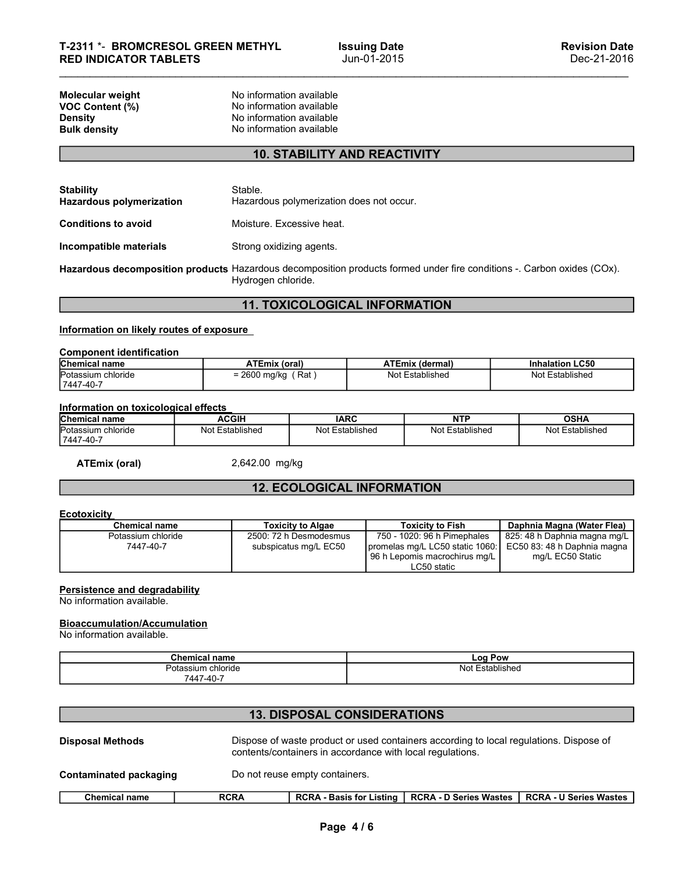# 10. STABILITY AND REACTIVITY

| T-2311 *- BROMCRESOL GREEN METHYL<br><b>RED INDICATOR TABLETS</b>                                                      |                                                                                                              |                                          | <b>Issuing Date</b><br>Jun-01-2015 |                                           | <b>Revision Date</b><br>Dec-21-2016       |
|------------------------------------------------------------------------------------------------------------------------|--------------------------------------------------------------------------------------------------------------|------------------------------------------|------------------------------------|-------------------------------------------|-------------------------------------------|
| Molecular weight<br>VOC Content (%)<br><b>Density</b><br><b>Bulk density</b>                                           | No information available<br>No information available<br>No information available<br>No information available |                                          |                                    |                                           |                                           |
|                                                                                                                        |                                                                                                              | <b>10. STABILITY AND REACTIVITY</b>      |                                    |                                           |                                           |
|                                                                                                                        |                                                                                                              |                                          |                                    |                                           |                                           |
| <b>Stability</b><br><b>Hazardous polymerization</b>                                                                    | Stable.                                                                                                      | Hazardous polymerization does not occur. |                                    |                                           |                                           |
| <b>Conditions to avoid</b>                                                                                             | Moisture. Excessive heat.                                                                                    |                                          |                                    |                                           |                                           |
| Incompatible materials                                                                                                 | Strong oxidizing agents.                                                                                     |                                          |                                    |                                           |                                           |
| Hazardous decomposition products Hazardous decomposition products formed under fire conditions -. Carbon oxides (COx). | Hydrogen chloride.                                                                                           |                                          |                                    |                                           |                                           |
|                                                                                                                        |                                                                                                              | <b>11. TOXICOLOGICAL INFORMATION</b>     |                                    |                                           |                                           |
| Information on likely routes of exposure                                                                               |                                                                                                              |                                          |                                    |                                           |                                           |
| <b>Component identification</b>                                                                                        |                                                                                                              |                                          |                                    |                                           |                                           |
| Chemical name<br>Potassium chloride<br>7447-40-7                                                                       | <b>ATEmix (oral)</b><br>$= 2600$ mg/kg (Rat)                                                                 |                                          |                                    | <b>ATEmix (dermal)</b><br>Not Established | <b>Inhalation LC50</b><br>Not Established |
| Information on toxicological effects                                                                                   |                                                                                                              |                                          |                                    |                                           |                                           |
| <b>Chemical name</b>                                                                                                   | <b>ACGIH</b>                                                                                                 | <b>IARC</b>                              |                                    | <b>NTP</b>                                | <b>OSHA</b>                               |
| Potassium chloride<br>7447-40-7                                                                                        | Not Established                                                                                              | Not Established                          |                                    | Not Established                           | Not Established                           |
| <b>ATEmix (oral)</b>                                                                                                   | 2,642.00 mg/kg                                                                                               |                                          |                                    |                                           |                                           |
|                                                                                                                        |                                                                                                              | <b>12. ECOLOGICAL INFORMATION</b>        |                                    |                                           |                                           |
| <b>Ecotoxicity</b>                                                                                                     |                                                                                                              |                                          |                                    |                                           |                                           |
| <b>Chemical name</b>                                                                                                   |                                                                                                              | <b>Toxicity to Algae</b>                 |                                    | <b>Toxicity to Fish</b>                   | Daphnia Magna (Water Flea)                |
|                                                                                                                        |                                                                                                              |                                          |                                    |                                           |                                           |

# 11. TOXICOLOGICAL INFORMATION

| <b>Component identification</b> |                         |                        |                        |
|---------------------------------|-------------------------|------------------------|------------------------|
| <b>Chemical name</b>            | ATEmix (oral)           | <b>ATEmix (dermal)</b> | <b>Inhalation LC50</b> |
| Potassium chloride              | $= 2600$ mg/kg<br>∫ Rat | Not Established        | Not Established        |
| 7447-40-7                       |                         |                        |                        |

| <b>Chemical name</b>                | ACGIH                | <b>IARC</b>                          | <b>NTF</b>          | OSHA               |
|-------------------------------------|----------------------|--------------------------------------|---------------------|--------------------|
| Potassium<br>chloride<br>17447-40-7 | Not l<br>Established | -<br>Not <sup>r</sup><br>Established | Established<br>Not. | Not<br>Established |

# 12. ECOLOGICAL INFORMATION

## **Ecotoxicity**

| Incompatible materials                                           |                                 | Strong oxidizing agents. |                                                 |                                                                                                                |                                                                                                                        |
|------------------------------------------------------------------|---------------------------------|--------------------------|-------------------------------------------------|----------------------------------------------------------------------------------------------------------------|------------------------------------------------------------------------------------------------------------------------|
|                                                                  |                                 | Hydrogen chloride.       |                                                 |                                                                                                                | Hazardous decomposition products Hazardous decomposition products formed under fire conditions -. Carbon oxides (COx). |
|                                                                  |                                 |                          | <b>11. TOXICOLOGICAL INFORMATION</b>            |                                                                                                                |                                                                                                                        |
| Information on likely routes of exposure                         |                                 |                          |                                                 |                                                                                                                |                                                                                                                        |
| <b>Component identification</b>                                  |                                 |                          |                                                 |                                                                                                                |                                                                                                                        |
| Chemical name                                                    |                                 | <b>ATEmix (oral)</b>     |                                                 | <b>ATEmix (dermal)</b>                                                                                         | <b>Inhalation LC50</b>                                                                                                 |
| Potassium chloride<br>7447-40-7                                  |                                 | $= 2600$ mg/kg (Rat)     |                                                 | Not Established                                                                                                | Not Established                                                                                                        |
| Information on toxicological effects                             |                                 |                          |                                                 |                                                                                                                |                                                                                                                        |
| Chemical name                                                    |                                 | <b>ACGIH</b>             | <b>IARC</b>                                     | <b>NTP</b>                                                                                                     | <b>OSHA</b>                                                                                                            |
| Potassium chloride<br>7447-40-7                                  |                                 | Not Established          | <b>Not Established</b>                          | Not Established                                                                                                | Not Established                                                                                                        |
| <b>ATEmix (oral)</b>                                             |                                 | 2,642.00 mg/kg           |                                                 |                                                                                                                |                                                                                                                        |
|                                                                  |                                 |                          | <b>12. ECOLOGICAL INFORMATION</b>               |                                                                                                                |                                                                                                                        |
| <b>Ecotoxicity</b>                                               |                                 |                          |                                                 |                                                                                                                |                                                                                                                        |
| <b>Chemical name</b>                                             |                                 |                          | <b>Toxicity to Algae</b>                        | <b>Toxicity to Fish</b>                                                                                        | Daphnia Magna (Water Flea)                                                                                             |
| Potassium chloride<br>7447-40-7                                  |                                 |                          | 2500: 72 h Desmodesmus<br>subspicatus mg/L EC50 | 750 - 1020: 96 h Pimephales<br>promelas mg/L LC50 static 1060:<br>96 h Lepomis macrochirus mg/L<br>LC50 static | 825: 48 h Daphnia magna mg/L<br>EC50 83: 48 h Daphnia magna<br>mg/L EC50 Static                                        |
| Persistence and degradability<br>No information available.       |                                 |                          |                                                 |                                                                                                                |                                                                                                                        |
| <b>Bioaccumulation/Accumulation</b><br>No information available. |                                 |                          |                                                 |                                                                                                                |                                                                                                                        |
|                                                                  | <b>Chemical name</b>            |                          |                                                 | Log Pow                                                                                                        |                                                                                                                        |
|                                                                  | Potassium chloride<br>7447-40-7 |                          |                                                 | Not Established                                                                                                |                                                                                                                        |
|                                                                  |                                 |                          |                                                 |                                                                                                                |                                                                                                                        |
|                                                                  |                                 |                          | <b>13. DISPOSAL CONSIDERATIONS</b>              |                                                                                                                |                                                                                                                        |

# Bioaccumulation/Accumulation

| ⊊nemıcaı<br>name                | ∟oo '<br>Pow            |  |
|---------------------------------|-------------------------|--|
| sium chloride<br>$\cdot$<br>υıα | ำlished<br>N∩t<br>$  +$ |  |
| -<br>-447-40                    |                         |  |

# 13. DISPOSAL CONSIDERATIONS

| <b>ATEmix (oral)</b>                                             | 2,642.00 mg/kg                                            |                                                                                                                |                                                                                 |
|------------------------------------------------------------------|-----------------------------------------------------------|----------------------------------------------------------------------------------------------------------------|---------------------------------------------------------------------------------|
|                                                                  | <b>12. ECOLOGICAL INFORMATION</b>                         |                                                                                                                |                                                                                 |
| <b>Ecotoxicity</b>                                               |                                                           |                                                                                                                |                                                                                 |
| <b>Chemical name</b>                                             | <b>Toxicity to Algae</b>                                  | <b>Toxicity to Fish</b>                                                                                        | Daphnia Magna (Water Flea)                                                      |
| Potassium chloride<br>7447-40-7                                  | 2500: 72 h Desmodesmus<br>subspicatus mg/L EC50           | 750 - 1020: 96 h Pimephales<br>promelas mg/L LC50 static 1060:<br>96 h Lepomis macrochirus mg/L<br>LC50 static | 825: 48 h Daphnia magna mg/L<br>EC50 83: 48 h Daphnia magna<br>mg/L EC50 Static |
| Persistence and degradability<br>No information available.       |                                                           |                                                                                                                |                                                                                 |
| <b>Bioaccumulation/Accumulation</b><br>No information available. |                                                           |                                                                                                                |                                                                                 |
|                                                                  | <b>Chemical name</b>                                      | Log Pow                                                                                                        |                                                                                 |
|                                                                  | Potassium chloride                                        | Not Established                                                                                                |                                                                                 |
|                                                                  | 7447-40-7                                                 |                                                                                                                |                                                                                 |
|                                                                  |                                                           |                                                                                                                |                                                                                 |
|                                                                  | <b>13. DISPOSAL CONSIDERATIONS</b>                        |                                                                                                                |                                                                                 |
| <b>Disposal Methods</b>                                          | contents/containers in accordance with local regulations. | Dispose of waste product or used containers according to local regulations. Dispose of                         |                                                                                 |
| <b>Contaminated packaging</b>                                    | Do not reuse empty containers.                            |                                                                                                                |                                                                                 |
| <b>Chemical name</b>                                             | <b>RCRA</b><br><b>RCRA - Basis for Listing</b>            | <b>RCRA - D Series Wastes</b>                                                                                  | <b>RCRA - U Series Wastes</b>                                                   |
|                                                                  | Page 4/6                                                  |                                                                                                                |                                                                                 |
|                                                                  |                                                           |                                                                                                                |                                                                                 |
|                                                                  |                                                           |                                                                                                                |                                                                                 |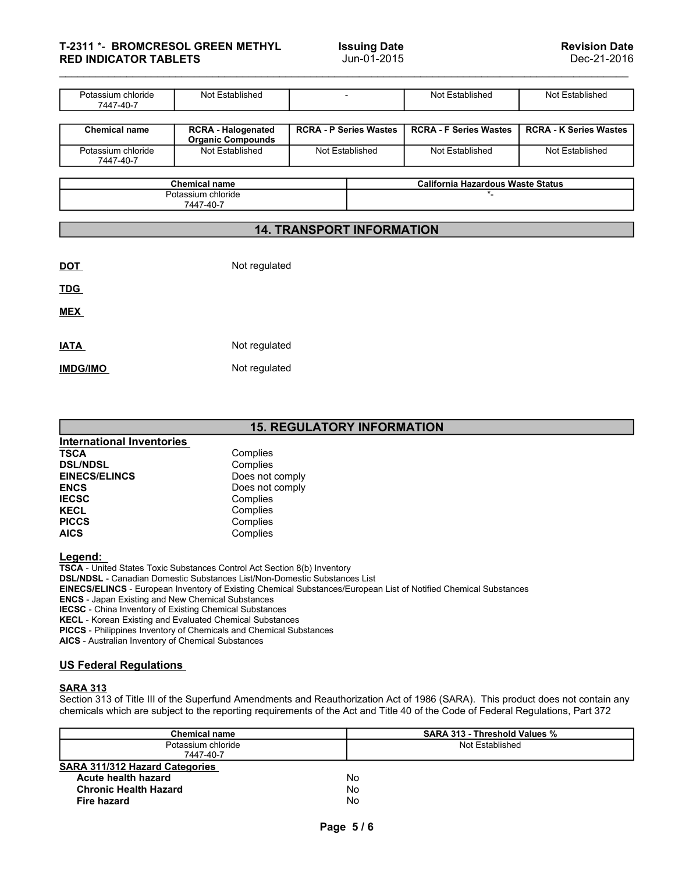| T-2311 *- BROMCRESOL GREEN METHYL<br><b>Issuing Date</b><br>Jun-01-2015<br><b>RED INDICATOR TABLETS</b><br>Potassium chloride<br>Not Established<br>Not Established<br>Not Established<br>$\overline{\phantom{a}}$<br>7447-40-7<br><b>RCRA - Halogenated</b><br><b>RCRA - P Series Wastes</b><br><b>RCRA - F Series Wastes</b><br><b>RCRA - K Series Wastes</b><br><b>Chemical name</b><br>Organic Compounds<br>Not Established<br>Potassium chloride<br>Not Established<br>Not Established<br>Not Established<br>7447-40-7<br><b>Chemical name</b><br><b>California Hazardous Waste Status</b><br>Potassium chloride<br>$\star$ _<br>7447-40-7<br><b>14. TRANSPORT INFORMATION</b> |  |  |                                     |
|-------------------------------------------------------------------------------------------------------------------------------------------------------------------------------------------------------------------------------------------------------------------------------------------------------------------------------------------------------------------------------------------------------------------------------------------------------------------------------------------------------------------------------------------------------------------------------------------------------------------------------------------------------------------------------------|--|--|-------------------------------------|
|                                                                                                                                                                                                                                                                                                                                                                                                                                                                                                                                                                                                                                                                                     |  |  |                                     |
|                                                                                                                                                                                                                                                                                                                                                                                                                                                                                                                                                                                                                                                                                     |  |  |                                     |
|                                                                                                                                                                                                                                                                                                                                                                                                                                                                                                                                                                                                                                                                                     |  |  |                                     |
|                                                                                                                                                                                                                                                                                                                                                                                                                                                                                                                                                                                                                                                                                     |  |  |                                     |
|                                                                                                                                                                                                                                                                                                                                                                                                                                                                                                                                                                                                                                                                                     |  |  |                                     |
|                                                                                                                                                                                                                                                                                                                                                                                                                                                                                                                                                                                                                                                                                     |  |  |                                     |
|                                                                                                                                                                                                                                                                                                                                                                                                                                                                                                                                                                                                                                                                                     |  |  |                                     |
|                                                                                                                                                                                                                                                                                                                                                                                                                                                                                                                                                                                                                                                                                     |  |  |                                     |
|                                                                                                                                                                                                                                                                                                                                                                                                                                                                                                                                                                                                                                                                                     |  |  |                                     |
|                                                                                                                                                                                                                                                                                                                                                                                                                                                                                                                                                                                                                                                                                     |  |  |                                     |
|                                                                                                                                                                                                                                                                                                                                                                                                                                                                                                                                                                                                                                                                                     |  |  |                                     |
|                                                                                                                                                                                                                                                                                                                                                                                                                                                                                                                                                                                                                                                                                     |  |  |                                     |
|                                                                                                                                                                                                                                                                                                                                                                                                                                                                                                                                                                                                                                                                                     |  |  |                                     |
|                                                                                                                                                                                                                                                                                                                                                                                                                                                                                                                                                                                                                                                                                     |  |  | <b>Revision Date</b><br>Dec-21-2016 |
|                                                                                                                                                                                                                                                                                                                                                                                                                                                                                                                                                                                                                                                                                     |  |  |                                     |
|                                                                                                                                                                                                                                                                                                                                                                                                                                                                                                                                                                                                                                                                                     |  |  |                                     |
|                                                                                                                                                                                                                                                                                                                                                                                                                                                                                                                                                                                                                                                                                     |  |  |                                     |
|                                                                                                                                                                                                                                                                                                                                                                                                                                                                                                                                                                                                                                                                                     |  |  |                                     |
|                                                                                                                                                                                                                                                                                                                                                                                                                                                                                                                                                                                                                                                                                     |  |  |                                     |
|                                                                                                                                                                                                                                                                                                                                                                                                                                                                                                                                                                                                                                                                                     |  |  |                                     |
|                                                                                                                                                                                                                                                                                                                                                                                                                                                                                                                                                                                                                                                                                     |  |  |                                     |

| unemical<br>name                                      | California Hazardous waste Status |
|-------------------------------------------------------|-----------------------------------|
| oblorid.<br>$\sim$<br>ioriae<br>ωĸ<br>$-40-7$<br>7447 |                                   |

# 14. TRANSPORT INFORMATION

| 7447-40-7                        |                                 |                                   |                                          |  |
|----------------------------------|---------------------------------|-----------------------------------|------------------------------------------|--|
|                                  | <b>Chemical name</b>            |                                   | <b>California Hazardous Waste Status</b> |  |
|                                  | Potassium chloride<br>7447-40-7 |                                   | $\star$                                  |  |
|                                  |                                 | <b>14. TRANSPORT INFORMATION</b>  |                                          |  |
|                                  |                                 |                                   |                                          |  |
| <b>DOT</b>                       | Not regulated                   |                                   |                                          |  |
| <b>TDG</b>                       |                                 |                                   |                                          |  |
| <b>MEX</b>                       |                                 |                                   |                                          |  |
| <b>IATA</b>                      | Not regulated                   |                                   |                                          |  |
| <b>IMDG/IMO</b>                  | Not regulated                   |                                   |                                          |  |
|                                  |                                 |                                   |                                          |  |
|                                  |                                 | <b>15. REGULATORY INFORMATION</b> |                                          |  |
| <b>International Inventories</b> |                                 |                                   |                                          |  |
| <b>TSCA</b>                      | Complies                        |                                   |                                          |  |
| <b>DSL/NDSL</b>                  | Complies                        |                                   |                                          |  |
| <b>EINECS/ELINCS</b>             | Does not comply                 |                                   |                                          |  |
| <b>ENCS</b>                      | Does not comply                 |                                   |                                          |  |
| <b>IECSC</b>                     | Complies                        |                                   |                                          |  |
| <b>KECL</b><br><b>PICCS</b>      | Complies                        |                                   |                                          |  |
| <b>AICS</b>                      | Complies<br>Complies            |                                   |                                          |  |
| <b>I</b> enend                   |                                 |                                   |                                          |  |

|--|

|                                                                                                                                                                                                                                                                       |                                                                                                                                                                                                                                                                                                                                                           | <b>15. REGULATORY INFORMATION</b> |
|-----------------------------------------------------------------------------------------------------------------------------------------------------------------------------------------------------------------------------------------------------------------------|-----------------------------------------------------------------------------------------------------------------------------------------------------------------------------------------------------------------------------------------------------------------------------------------------------------------------------------------------------------|-----------------------------------|
| <b>International Inventories</b>                                                                                                                                                                                                                                      |                                                                                                                                                                                                                                                                                                                                                           |                                   |
| <b>TSCA</b>                                                                                                                                                                                                                                                           | Complies                                                                                                                                                                                                                                                                                                                                                  |                                   |
| <b>DSL/NDSL</b>                                                                                                                                                                                                                                                       | Complies                                                                                                                                                                                                                                                                                                                                                  |                                   |
| <b>EINECS/ELINCS</b>                                                                                                                                                                                                                                                  | Does not comply                                                                                                                                                                                                                                                                                                                                           |                                   |
| <b>ENCS</b>                                                                                                                                                                                                                                                           | Does not comply                                                                                                                                                                                                                                                                                                                                           |                                   |
| <b>IECSC</b>                                                                                                                                                                                                                                                          | Complies                                                                                                                                                                                                                                                                                                                                                  |                                   |
| <b>KECL</b>                                                                                                                                                                                                                                                           | Complies                                                                                                                                                                                                                                                                                                                                                  |                                   |
| <b>PICCS</b>                                                                                                                                                                                                                                                          | Complies                                                                                                                                                                                                                                                                                                                                                  |                                   |
| <b>AICS</b>                                                                                                                                                                                                                                                           | Complies                                                                                                                                                                                                                                                                                                                                                  |                                   |
| Legend:<br><b>ENCS</b> - Japan Existing and New Chemical Substances<br><b>IECSC</b> - China Inventory of Existing Chemical Substances<br><b>KECL</b> - Korean Existing and Evaluated Chemical Substances<br><b>AICS</b> - Australian Inventory of Chemical Substances | TSCA - United States Toxic Substances Control Act Section 8(b) Inventory<br><b>DSL/NDSL - Canadian Domestic Substances List/Non-Domestic Substances List</b><br><b>EINECS/ELINCS</b> - European Inventory of Existing Chemical Substances/European List of Notified Chemical<br><b>PICCS</b> - Philippines Inventory of Chemicals and Chemical Substances |                                   |
| <b>US Federal Regulations</b>                                                                                                                                                                                                                                         |                                                                                                                                                                                                                                                                                                                                                           |                                   |
| <b>SARA 313</b>                                                                                                                                                                                                                                                       |                                                                                                                                                                                                                                                                                                                                                           |                                   |
|                                                                                                                                                                                                                                                                       | Section 313 of Title III of the Superfund Amendments and Reauthorization Act of 1986 (SARA).                                                                                                                                                                                                                                                              |                                   |
|                                                                                                                                                                                                                                                                       | chemicals which are subject to the reporting requirements of the Act and Title 40 of the Code of I                                                                                                                                                                                                                                                        |                                   |
|                                                                                                                                                                                                                                                                       | <b>Chemical name</b>                                                                                                                                                                                                                                                                                                                                      | <b>SARA 313 - TI</b>              |

| <b>International Inventories</b><br><b>TSCA</b><br>Complies<br><b>DSL/NDSL</b><br>Complies<br><b>EINECS/ELINCS</b><br>Does not comply<br><b>ENCS</b><br>Does not comply<br><b>IECSC</b><br>Complies<br><b>KECL</b><br>Complies<br><b>PICCS</b><br>Complies<br><b>AICS</b><br>Complies<br>Legend:<br>TSCA - United States Toxic Substances Control Act Section 8(b) Inventory<br>DSL/NDSL - Canadian Domestic Substances List/Non-Domestic Substances List<br>EINECS/ELINCS - European Inventory of Existing Chemical Substances/European List of Notified Chemical Substances<br><b>ENCS</b> - Japan Existing and New Chemical Substances<br><b>IECSC</b> - China Inventory of Existing Chemical Substances<br>KECL - Korean Existing and Evaluated Chemical Substances<br>PICCS - Philippines Inventory of Chemicals and Chemical Substances<br>AICS - Australian Inventory of Chemical Substances<br><b>US Federal Regulations</b><br><b>SARA 313</b><br>chemicals which are subject to the reporting requirements of the Act and Title 40 of the Code of Federal Regulations, Part 372<br>SARA 313 - Threshold Values %<br><b>Chemical name</b><br>Potassium chloride<br>Not Established<br>7447-40-7<br>SARA 311/312 Hazard Categories<br>No<br>Acute health hazard<br><b>Chronic Health Hazard</b><br><b>No</b><br>No<br><b>Fire hazard</b><br>Page 5/6 | <b>15. REGULATORY INFORMATION</b> |  |
|--------------------------------------------------------------------------------------------------------------------------------------------------------------------------------------------------------------------------------------------------------------------------------------------------------------------------------------------------------------------------------------------------------------------------------------------------------------------------------------------------------------------------------------------------------------------------------------------------------------------------------------------------------------------------------------------------------------------------------------------------------------------------------------------------------------------------------------------------------------------------------------------------------------------------------------------------------------------------------------------------------------------------------------------------------------------------------------------------------------------------------------------------------------------------------------------------------------------------------------------------------------------------------------------------------------------------------------------------------------|-----------------------------------|--|
|                                                                                                                                                                                                                                                                                                                                                                                                                                                                                                                                                                                                                                                                                                                                                                                                                                                                                                                                                                                                                                                                                                                                                                                                                                                                                                                                                              |                                   |  |
|                                                                                                                                                                                                                                                                                                                                                                                                                                                                                                                                                                                                                                                                                                                                                                                                                                                                                                                                                                                                                                                                                                                                                                                                                                                                                                                                                              |                                   |  |
|                                                                                                                                                                                                                                                                                                                                                                                                                                                                                                                                                                                                                                                                                                                                                                                                                                                                                                                                                                                                                                                                                                                                                                                                                                                                                                                                                              |                                   |  |
|                                                                                                                                                                                                                                                                                                                                                                                                                                                                                                                                                                                                                                                                                                                                                                                                                                                                                                                                                                                                                                                                                                                                                                                                                                                                                                                                                              |                                   |  |
| Section 313 of Title III of the Superfund Amendments and Reauthorization Act of 1986 (SARA). This product does not contain any                                                                                                                                                                                                                                                                                                                                                                                                                                                                                                                                                                                                                                                                                                                                                                                                                                                                                                                                                                                                                                                                                                                                                                                                                               |                                   |  |
|                                                                                                                                                                                                                                                                                                                                                                                                                                                                                                                                                                                                                                                                                                                                                                                                                                                                                                                                                                                                                                                                                                                                                                                                                                                                                                                                                              |                                   |  |
|                                                                                                                                                                                                                                                                                                                                                                                                                                                                                                                                                                                                                                                                                                                                                                                                                                                                                                                                                                                                                                                                                                                                                                                                                                                                                                                                                              |                                   |  |
|                                                                                                                                                                                                                                                                                                                                                                                                                                                                                                                                                                                                                                                                                                                                                                                                                                                                                                                                                                                                                                                                                                                                                                                                                                                                                                                                                              |                                   |  |
|                                                                                                                                                                                                                                                                                                                                                                                                                                                                                                                                                                                                                                                                                                                                                                                                                                                                                                                                                                                                                                                                                                                                                                                                                                                                                                                                                              |                                   |  |
|                                                                                                                                                                                                                                                                                                                                                                                                                                                                                                                                                                                                                                                                                                                                                                                                                                                                                                                                                                                                                                                                                                                                                                                                                                                                                                                                                              |                                   |  |
|                                                                                                                                                                                                                                                                                                                                                                                                                                                                                                                                                                                                                                                                                                                                                                                                                                                                                                                                                                                                                                                                                                                                                                                                                                                                                                                                                              |                                   |  |
|                                                                                                                                                                                                                                                                                                                                                                                                                                                                                                                                                                                                                                                                                                                                                                                                                                                                                                                                                                                                                                                                                                                                                                                                                                                                                                                                                              |                                   |  |
|                                                                                                                                                                                                                                                                                                                                                                                                                                                                                                                                                                                                                                                                                                                                                                                                                                                                                                                                                                                                                                                                                                                                                                                                                                                                                                                                                              |                                   |  |
|                                                                                                                                                                                                                                                                                                                                                                                                                                                                                                                                                                                                                                                                                                                                                                                                                                                                                                                                                                                                                                                                                                                                                                                                                                                                                                                                                              |                                   |  |
|                                                                                                                                                                                                                                                                                                                                                                                                                                                                                                                                                                                                                                                                                                                                                                                                                                                                                                                                                                                                                                                                                                                                                                                                                                                                                                                                                              |                                   |  |
|                                                                                                                                                                                                                                                                                                                                                                                                                                                                                                                                                                                                                                                                                                                                                                                                                                                                                                                                                                                                                                                                                                                                                                                                                                                                                                                                                              |                                   |  |
|                                                                                                                                                                                                                                                                                                                                                                                                                                                                                                                                                                                                                                                                                                                                                                                                                                                                                                                                                                                                                                                                                                                                                                                                                                                                                                                                                              |                                   |  |
|                                                                                                                                                                                                                                                                                                                                                                                                                                                                                                                                                                                                                                                                                                                                                                                                                                                                                                                                                                                                                                                                                                                                                                                                                                                                                                                                                              |                                   |  |
|                                                                                                                                                                                                                                                                                                                                                                                                                                                                                                                                                                                                                                                                                                                                                                                                                                                                                                                                                                                                                                                                                                                                                                                                                                                                                                                                                              |                                   |  |
|                                                                                                                                                                                                                                                                                                                                                                                                                                                                                                                                                                                                                                                                                                                                                                                                                                                                                                                                                                                                                                                                                                                                                                                                                                                                                                                                                              |                                   |  |
|                                                                                                                                                                                                                                                                                                                                                                                                                                                                                                                                                                                                                                                                                                                                                                                                                                                                                                                                                                                                                                                                                                                                                                                                                                                                                                                                                              |                                   |  |
|                                                                                                                                                                                                                                                                                                                                                                                                                                                                                                                                                                                                                                                                                                                                                                                                                                                                                                                                                                                                                                                                                                                                                                                                                                                                                                                                                              |                                   |  |
|                                                                                                                                                                                                                                                                                                                                                                                                                                                                                                                                                                                                                                                                                                                                                                                                                                                                                                                                                                                                                                                                                                                                                                                                                                                                                                                                                              |                                   |  |
|                                                                                                                                                                                                                                                                                                                                                                                                                                                                                                                                                                                                                                                                                                                                                                                                                                                                                                                                                                                                                                                                                                                                                                                                                                                                                                                                                              |                                   |  |
|                                                                                                                                                                                                                                                                                                                                                                                                                                                                                                                                                                                                                                                                                                                                                                                                                                                                                                                                                                                                                                                                                                                                                                                                                                                                                                                                                              |                                   |  |
|                                                                                                                                                                                                                                                                                                                                                                                                                                                                                                                                                                                                                                                                                                                                                                                                                                                                                                                                                                                                                                                                                                                                                                                                                                                                                                                                                              |                                   |  |
|                                                                                                                                                                                                                                                                                                                                                                                                                                                                                                                                                                                                                                                                                                                                                                                                                                                                                                                                                                                                                                                                                                                                                                                                                                                                                                                                                              |                                   |  |
|                                                                                                                                                                                                                                                                                                                                                                                                                                                                                                                                                                                                                                                                                                                                                                                                                                                                                                                                                                                                                                                                                                                                                                                                                                                                                                                                                              |                                   |  |
|                                                                                                                                                                                                                                                                                                                                                                                                                                                                                                                                                                                                                                                                                                                                                                                                                                                                                                                                                                                                                                                                                                                                                                                                                                                                                                                                                              |                                   |  |
|                                                                                                                                                                                                                                                                                                                                                                                                                                                                                                                                                                                                                                                                                                                                                                                                                                                                                                                                                                                                                                                                                                                                                                                                                                                                                                                                                              |                                   |  |
|                                                                                                                                                                                                                                                                                                                                                                                                                                                                                                                                                                                                                                                                                                                                                                                                                                                                                                                                                                                                                                                                                                                                                                                                                                                                                                                                                              |                                   |  |
|                                                                                                                                                                                                                                                                                                                                                                                                                                                                                                                                                                                                                                                                                                                                                                                                                                                                                                                                                                                                                                                                                                                                                                                                                                                                                                                                                              |                                   |  |